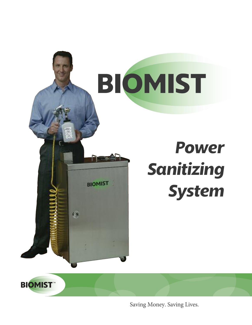

Saving Money. Saving Lives.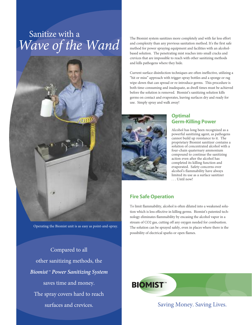# Sanitize with a *Wave of the Wand*



Operating the Biomist unit is as easy as point-and-spray.

Compared to all other sanitizing methods, the *Biomist™ Power Sanitizing System* saves time and money. The spray covers hard to reach

The Biomist system sanitizes more completely and with far less effort and complexity than any previous sanitation method. It's the first safe method for power spraying equipment and facilities with an alcoholbased solution. The penetrating mist reaches into small cracks and crevices that are impossible to reach with other sanitizing methods and kills pathogens where they hide.

Current surface disinfection techniques are often ineffective, utilizing a "hit or miss" approach with trigger-spray bottles and a sponge or rag wipe-down that can spread or re-introduce germs. This procedure is both time-consuming and inadequate, as dwell times must be achieved before the solution is removed. Biomist's sanitizing solution kills germs on contact and evaporates, leaving surfaces dry and ready for use. Simply spray and walk away!



## **Optimal Germ-Killing Power**

Alcohol has long been recognized as a powerful sanitizing agent, as pathogens cannot build up resistance to it. The proprietary Biomist sanitizer contains a solution of concentrated alcohol with a four-chain quaternary ammonium compound to continue the sanitizing action even after the alcohol has completed its killing function and evaporated. Safety concerns over alcohol's flammability have always limited its use as a surface sanitizer . . . Until now!

#### **Fire Safe Operation**

To limit flammability, alcohol is often diluted into a weakened solution which is less effective in killing germs. Biomist's patented technology eliminates flammability by encasing the alcohol vapor in a stream of CO2 gas, cutting off any oxygen needed for combustion. The solution can be sprayed safely, even in places where there is the possibility of electrical sparks or open flames.



surfaces and crevices. Saving Money. Saving Lives.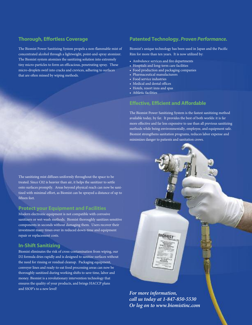### **Thorough, Effortless Coverage**

The Biomist Power Sanitizing System propels a non-flammable mist of concentrated alcohol through a lightweight, point-and-spray atomizer. The Biomist system atomizes the sanitizing solution into extremely tiny micro-particles to form an efficacious, penetrating spray. These micro-droplets swirl into cracks and crevices, adhering to surfaces that are often missed by wiping methods.

### **Patented Technology.** *Proven Performance.*

Biomist's unique technology has been used in Japan and the Pacific Rim for more than ten years. It is now utilized by:

- Ambulance services and fire departments
- Hospitals and long-term care facilities
- Food production and packaging companies
- Pharmaceutical manufacturers
- Food service industries
- Medical and dental offices
- Hotels, resort inns and spas
- Athletic facilities

#### **Effective, Efficient and Affordable**

The Biomist Power Sanitizing System is the fastest sanitizing method available today, by far. It provides the best of both worlds: it is far more effective and far less expensive to use than all previous sanitizing methods while being environmentally, employee, and equipment safe. Biomist strengthens sanitation programs, reduces labor expense and minimizes danger to patients and sanitation crews.

The sanitizing mist diffuses uniformly throughout the space to be treated. Since C02 is heavier than air, it helps the sanitizer to settle onto surfaces promptly. Areas beyond physical reach can now be sanitized with minimal effort, as Biomist can be sprayed a distance of up to fifteen feet.

#### **Protect your Equipment and Facilities**

Modern electronic equipment is not compatible with corrosive sanitizers or wet-wash methods. Biomist thoroughly sanitizes sensitive components in seconds without damaging them. Users recover their investment many times over in reduced down-time and equipment repair or replacement costs.

#### **In-Shift Sanitizing**

Biomist eliminates the risk of cross-contamination from wiping, our D2 formula dries rapidly and is designed to sanitize surfaces without the need for rinsing or residual cleanup. Packaging equipment, conveyer lines and ready-to-eat food processing areas can now be thoroughly sanitized during working shifts to save time, labor and money. Biomist is a revolutionary intervention technology that ensures the quality of your products, and brings HACCP plans and SSOP's to a new level!

*For more information, call us today at 1-847-850-5530 Or log on to www.biomistinc.com*

BIOMIST

 $0002$